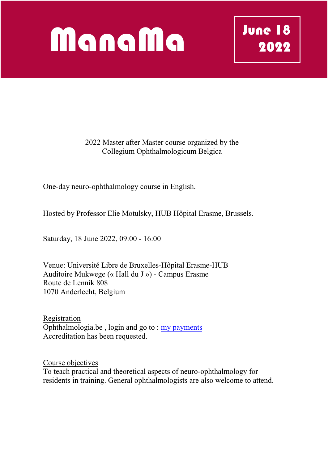## ManaMa

2022 Master after Master course organized by the Collegium Ophthalmologicum Belgica

One-day neuro-ophthalmology course in English.

Hosted by Professor Elie Motulsky, HUB Hôpital Erasme, Brussels.

Saturday, 18 June 2022, 09:00 - 16:00

Venue: Université Libre de Bruxelles-Hôpital Erasme-HUB Auditoire Mukwege (« Hall du J ») - Campus Erasme Route de Lennik 808 1070 Anderlecht, Belgium

Registration Ophthalmologia.be , login and go to : my payments Accreditation has been requested.

Course objectives To teach practical and theoretical aspects of neuro-ophthalmology for residents in training. General ophthalmologists are also welcome to attend.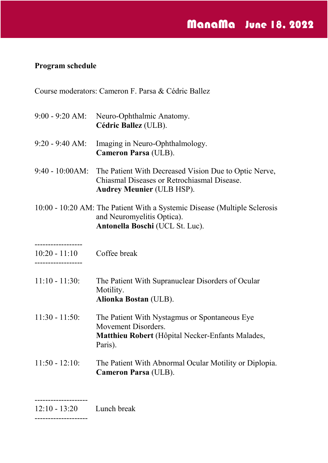## **Program schedule**

Course moderators: Cameron F. Parsa & Cédric Ballez

9:00 - 9:20 AM: Neuro-Ophthalmic Anatomy. **Cédric Ballez** (ULB). 9:20 - 9:40 AM: Imaging in Neuro-Ophthalmology. **Cameron Parsa** (ULB). 9:40 - 10:00AM: The Patient With Decreased Vision Due to Optic Nerve, Chiasmal Diseases or Retrochiasmal Disease. **Audrey Meunier** (ULB HSP). 10:00 - 10:20 AM: The Patient With a Systemic Disease (Multiple Sclerosis ------------------ 10:20 - 11:10 ------------------  $11:10 - 11:30$ : 11:30 - 11:50: 11:50 - 12:10: and Neuromyelitis Optica). **Antonella Boschi** (UCL St. Luc). Coffee break The Patient With Supranuclear Disorders of Ocular Motility. **Alionka Bostan** (ULB). The Patient With Nystagmus or Spontaneous Eye Movement Disorders. **Matthieu Robert** (Hôpital Necker-Enfants Malades, Paris). The Patient With Abnormal Ocular Motility or Diplopia. **Cameron Parsa** (ULB).

 $12:10 - 13:20$ Lunch break

--------------------

--------------------